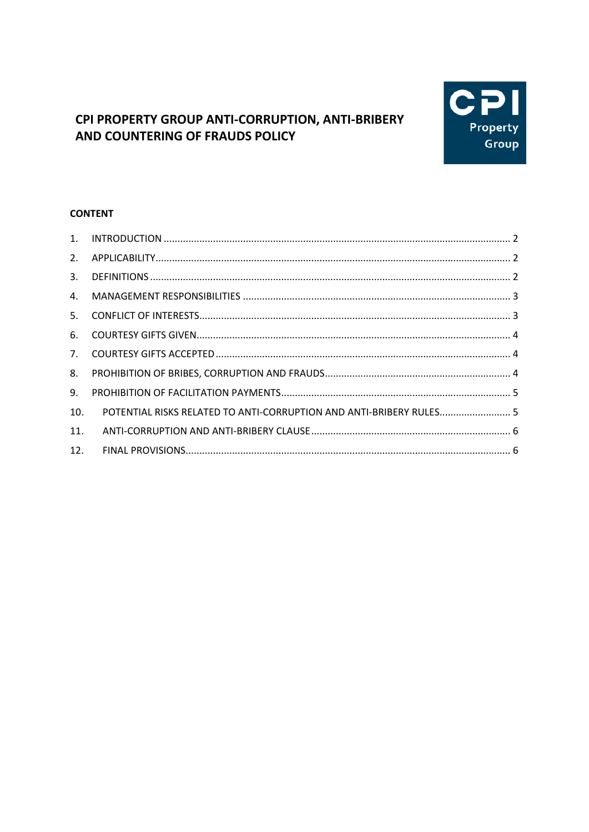# C Property Group

# CPI PROPERTY GROUP ANTI-CORRUPTION, ANTI-BRIBERY AND COUNTERING OF FRAUDS POLICY

# **CONTENT**

| 2.  |                                                                     |  |
|-----|---------------------------------------------------------------------|--|
| 3.  |                                                                     |  |
| 4.  |                                                                     |  |
| 5.  |                                                                     |  |
| 6.  |                                                                     |  |
| 7.  |                                                                     |  |
| 8.  |                                                                     |  |
| 9.  |                                                                     |  |
| 10. | POTENTIAL RISKS RELATED TO ANTI-CORRUPTION AND ANTI-BRIBERY RULES 5 |  |
| 11. |                                                                     |  |
| 12. |                                                                     |  |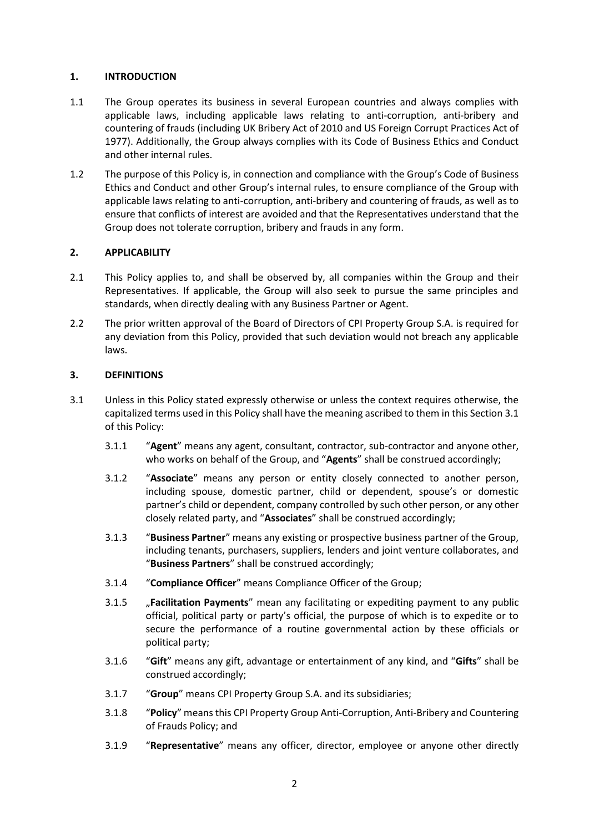### <span id="page-1-0"></span>**1. INTRODUCTION**

- 1.1 The Group operates its business in several European countries and always complies with applicable laws, including applicable laws relating to anti-corruption, anti-bribery and countering of frauds (including UK Bribery Act of 2010 and US Foreign Corrupt Practices Act of 1977). Additionally, the Group always complies with its Code of Business Ethics and Conduct and other internal rules.
- 1.2 The purpose of this Policy is, in connection and compliance with the Group's Code of Business Ethics and Conduct and other Group's internal rules, to ensure compliance of the Group with applicable laws relating to anti-corruption, anti-bribery and countering of frauds, as well as to ensure that conflicts of interest are avoided and that the Representatives understand that the Group does not tolerate corruption, bribery and frauds in any form.

# <span id="page-1-1"></span>**2. APPLICABILITY**

- 2.1 This Policy applies to, and shall be observed by, all companies within the Group and their Representatives. If applicable, the Group will also seek to pursue the same principles and standards, when directly dealing with any Business Partner or Agent.
- 2.2 The prior written approval of the Board of Directors of CPI Property Group S.A. is required for any deviation from this Policy, provided that such deviation would not breach any applicable laws.

#### <span id="page-1-2"></span>**3. DEFINITIONS**

- <span id="page-1-3"></span>3.1 Unless in this Policy stated expressly otherwise or unless the context requires otherwise, the capitalized terms used in this Policy shall have the meaning ascribed to them in this Sectio[n 3.1](#page-1-3) of this Policy:
	- 3.1.1 "**Agent**" means any agent, consultant, contractor, sub-contractor and anyone other, who works on behalf of the Group, and "**Agents**" shall be construed accordingly;
	- 3.1.2 "**Associate**" means any person or entity closely connected to another person, including spouse, domestic partner, child or dependent, spouse's or domestic partner's child or dependent, company controlled by such other person, or any other closely related party, and "**Associates**" shall be construed accordingly;
	- 3.1.3 "**Business Partner**" means any existing or prospective business partner of the Group, including tenants, purchasers, suppliers, lenders and joint venture collaborates, and "**Business Partners**" shall be construed accordingly;
	- 3.1.4 "**Compliance Officer**" means Compliance Officer of the Group;
	- 3.1.5 "**Facilitation Payments**" mean any facilitating or expediting payment to any public official, political party or party's official, the purpose of which is to expedite or to secure the performance of a routine governmental action by these officials or political party;
	- 3.1.6 "**Gift**" means any gift, advantage or entertainment of any kind, and "**Gifts**" shall be construed accordingly;
	- 3.1.7 "**Group**" means CPI Property Group S.A. and its subsidiaries;
	- 3.1.8 "**Policy**" means this CPI Property Group Anti-Corruption, Anti-Bribery and Countering of Frauds Policy; and
	- 3.1.9 "**Representative**" means any officer, director, employee or anyone other directly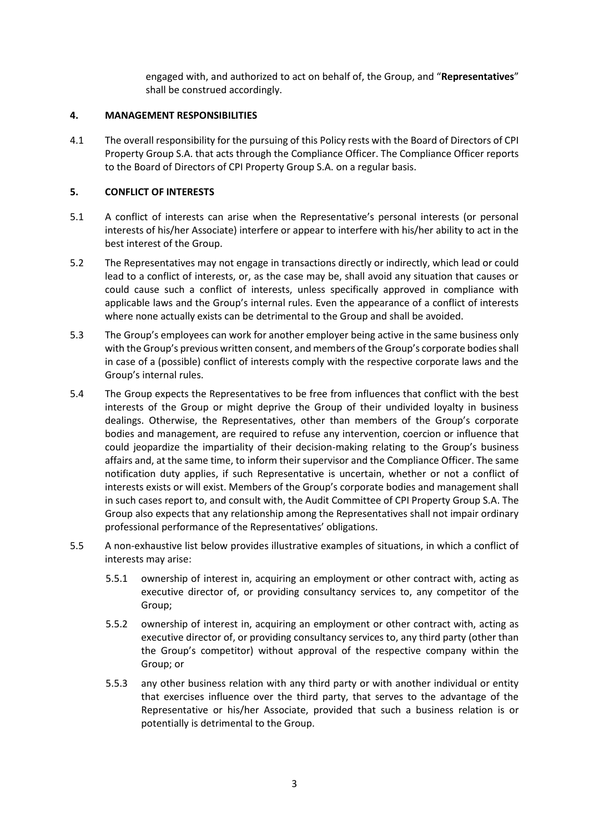engaged with, and authorized to act on behalf of, the Group, and "**Representatives**" shall be construed accordingly.

#### <span id="page-2-0"></span>**4. MANAGEMENT RESPONSIBILITIES**

4.1 The overall responsibility for the pursuing of this Policy rests with the Board of Directors of CPI Property Group S.A. that acts through the Compliance Officer. The Compliance Officer reports to the Board of Directors of CPI Property Group S.A. on a regular basis.

### <span id="page-2-1"></span>**5. CONFLICT OF INTERESTS**

- 5.1 A conflict of interests can arise when the Representative's personal interests (or personal interests of his/her Associate) interfere or appear to interfere with his/her ability to act in the best interest of the Group.
- 5.2 The Representatives may not engage in transactions directly or indirectly, which lead or could lead to a conflict of interests, or, as the case may be, shall avoid any situation that causes or could cause such a conflict of interests, unless specifically approved in compliance with applicable laws and the Group's internal rules. Even the appearance of a conflict of interests where none actually exists can be detrimental to the Group and shall be avoided.
- 5.3 The Group's employees can work for another employer being active in the same business only with the Group's previous written consent, and members of the Group's corporate bodies shall in case of a (possible) conflict of interests comply with the respective corporate laws and the Group's internal rules.
- 5.4 The Group expects the Representatives to be free from influences that conflict with the best interests of the Group or might deprive the Group of their undivided loyalty in business dealings. Otherwise, the Representatives, other than members of the Group's corporate bodies and management, are required to refuse any intervention, coercion or influence that could jeopardize the impartiality of their decision-making relating to the Group's business affairs and, at the same time, to inform their supervisor and the Compliance Officer. The same notification duty applies, if such Representative is uncertain, whether or not a conflict of interests exists or will exist. Members of the Group's corporate bodies and management shall in such cases report to, and consult with, the Audit Committee of CPI Property Group S.A. The Group also expects that any relationship among the Representatives shall not impair ordinary professional performance of the Representatives' obligations.
- 5.5 A non-exhaustive list below provides illustrative examples of situations, in which a conflict of interests may arise:
	- 5.5.1 ownership of interest in, acquiring an employment or other contract with, acting as executive director of, or providing consultancy services to, any competitor of the Group;
	- 5.5.2 ownership of interest in, acquiring an employment or other contract with, acting as executive director of, or providing consultancy services to, any third party (other than the Group's competitor) without approval of the respective company within the Group; or
	- 5.5.3 any other business relation with any third party or with another individual or entity that exercises influence over the third party, that serves to the advantage of the Representative or his/her Associate, provided that such a business relation is or potentially is detrimental to the Group.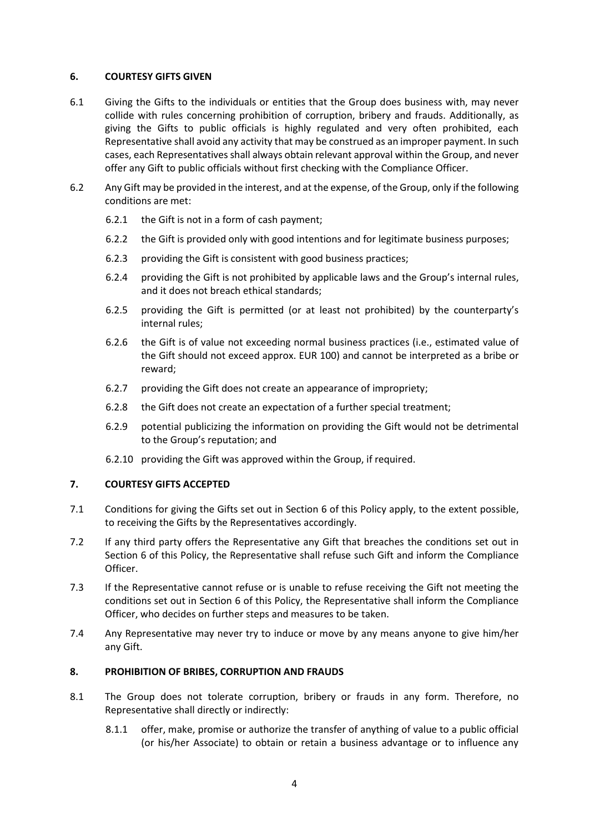#### <span id="page-3-0"></span>**6. COURTESY GIFTS GIVEN**

- 6.1 Giving the Gifts to the individuals or entities that the Group does business with, may never collide with rules concerning prohibition of corruption, bribery and frauds. Additionally, as giving the Gifts to public officials is highly regulated and very often prohibited, each Representative shall avoid any activity that may be construed as an improper payment. In such cases, each Representatives shall always obtain relevant approval within the Group, and never offer any Gift to public officials without first checking with the Compliance Officer.
- 6.2 Any Gift may be provided in the interest, and at the expense, of the Group, only if the following conditions are met:
	- 6.2.1 the Gift is not in a form of cash payment;
	- 6.2.2 the Gift is provided only with good intentions and for legitimate business purposes;
	- 6.2.3 providing the Gift is consistent with good business practices;
	- 6.2.4 providing the Gift is not prohibited by applicable laws and the Group's internal rules, and it does not breach ethical standards;
	- 6.2.5 providing the Gift is permitted (or at least not prohibited) by the counterparty's internal rules;
	- 6.2.6 the Gift is of value not exceeding normal business practices (i.e., estimated value of the Gift should not exceed approx. EUR 100) and cannot be interpreted as a bribe or reward;
	- 6.2.7 providing the Gift does not create an appearance of impropriety;
	- 6.2.8 the Gift does not create an expectation of a further special treatment;
	- 6.2.9 potential publicizing the information on providing the Gift would not be detrimental to the Group's reputation; and
	- 6.2.10 providing the Gift was approved within the Group, if required.

#### <span id="page-3-1"></span>**7. COURTESY GIFTS ACCEPTED**

- 7.1 Conditions for giving the Gifts set out in Section [6](#page-3-0) of this Policy apply, to the extent possible, to receiving the Gifts by the Representatives accordingly.
- 7.2 If any third party offers the Representative any Gift that breaches the conditions set out in Section [6](#page-3-0) of this Policy, the Representative shall refuse such Gift and inform the Compliance Officer.
- 7.3 If the Representative cannot refuse or is unable to refuse receiving the Gift not meeting the conditions set out in Section [6](#page-3-0) of this Policy, the Representative shall inform the Compliance Officer, who decides on further steps and measures to be taken.
- 7.4 Any Representative may never try to induce or move by any means anyone to give him/her any Gift.

# <span id="page-3-2"></span>**8. PROHIBITION OF BRIBES, CORRUPTION AND FRAUDS**

- 8.1 The Group does not tolerate corruption, bribery or frauds in any form. Therefore, no Representative shall directly or indirectly:
	- 8.1.1 offer, make, promise or authorize the transfer of anything of value to a public official (or his/her Associate) to obtain or retain a business advantage or to influence any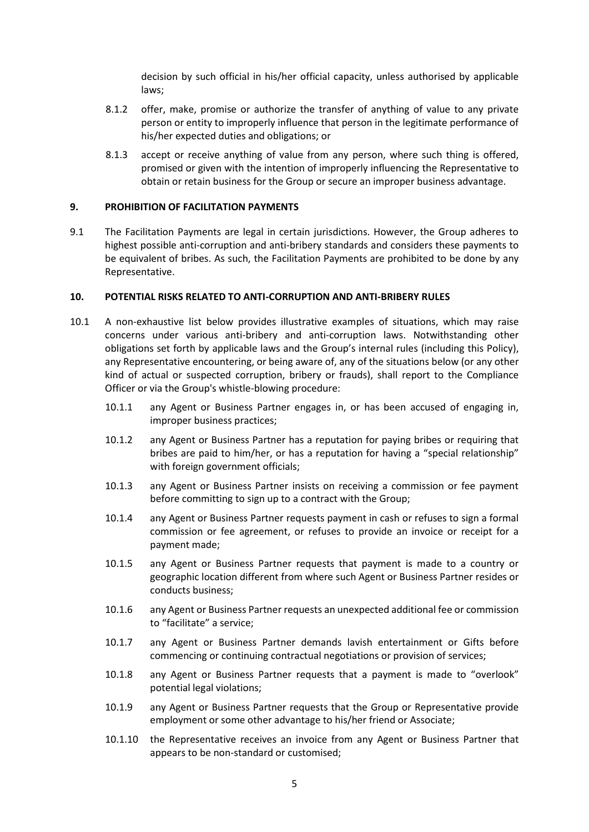decision by such official in his/her official capacity, unless authorised by applicable laws;

- 8.1.2 offer, make, promise or authorize the transfer of anything of value to any private person or entity to improperly influence that person in the legitimate performance of his/her expected duties and obligations; or
- 8.1.3 accept or receive anything of value from any person, where such thing is offered, promised or given with the intention of improperly influencing the Representative to obtain or retain business for the Group or secure an improper business advantage.

#### <span id="page-4-0"></span>**9. PROHIBITION OF FACILITATION PAYMENTS**

9.1 The Facilitation Payments are legal in certain jurisdictions. However, the Group adheres to highest possible anti-corruption and anti-bribery standards and considers these payments to be equivalent of bribes. As such, the Facilitation Payments are prohibited to be done by any Representative.

#### <span id="page-4-1"></span>**10. POTENTIAL RISKS RELATED TO ANTI-CORRUPTION AND ANTI-BRIBERY RULES**

- 10.1 A non-exhaustive list below provides illustrative examples of situations, which may raise concerns under various anti-bribery and anti-corruption laws. Notwithstanding other obligations set forth by applicable laws and the Group's internal rules (including this Policy), any Representative encountering, or being aware of, any of the situations below (or any other kind of actual or suspected corruption, bribery or frauds), shall report to the Compliance Officer or via the Group's whistle-blowing procedure:
	- 10.1.1 any Agent or Business Partner engages in, or has been accused of engaging in, improper business practices;
	- 10.1.2 any Agent or Business Partner has a reputation for paying bribes or requiring that bribes are paid to him/her, or has a reputation for having a "special relationship" with foreign government officials;
	- 10.1.3 any Agent or Business Partner insists on receiving a commission or fee payment before committing to sign up to a contract with the Group;
	- 10.1.4 any Agent or Business Partner requests payment in cash or refuses to sign a formal commission or fee agreement, or refuses to provide an invoice or receipt for a payment made;
	- 10.1.5 any Agent or Business Partner requests that payment is made to a country or geographic location different from where such Agent or Business Partner resides or conducts business;
	- 10.1.6 any Agent or Business Partner requests an unexpected additional fee or commission to "facilitate" a service;
	- 10.1.7 any Agent or Business Partner demands lavish entertainment or Gifts before commencing or continuing contractual negotiations or provision of services;
	- 10.1.8 any Agent or Business Partner requests that a payment is made to "overlook" potential legal violations;
	- 10.1.9 any Agent or Business Partner requests that the Group or Representative provide employment or some other advantage to his/her friend or Associate;
	- 10.1.10 the Representative receives an invoice from any Agent or Business Partner that appears to be non-standard or customised;